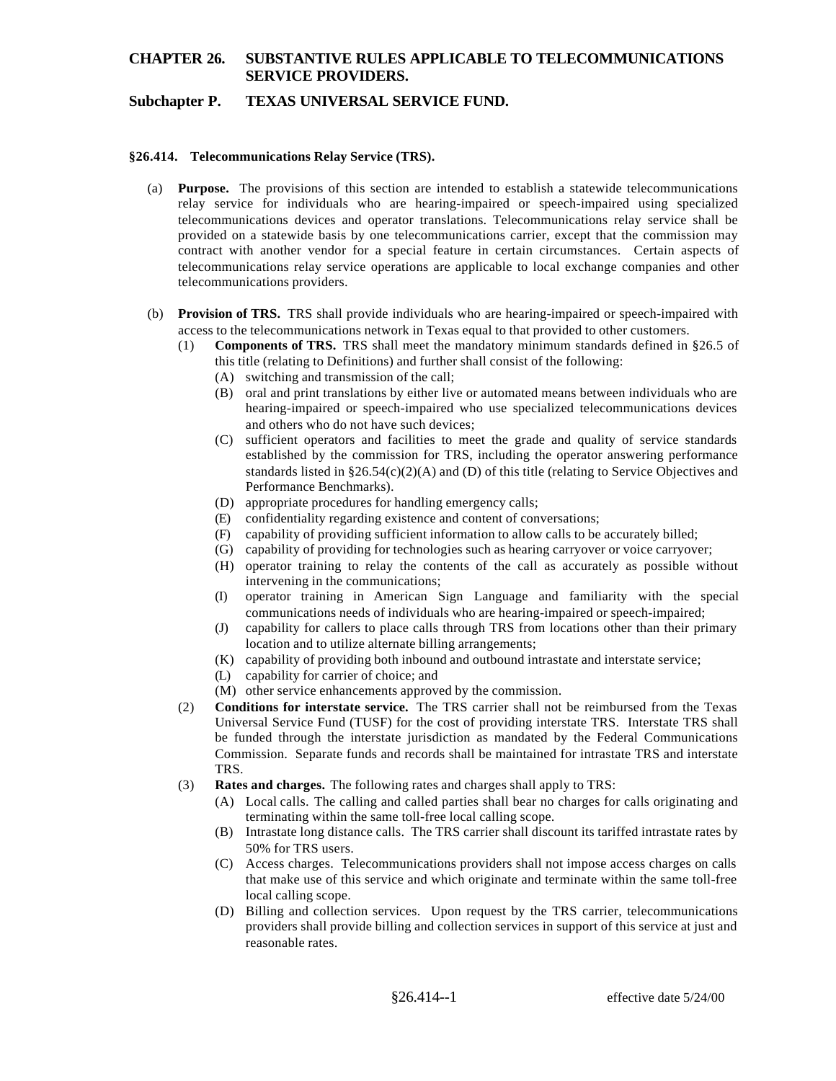# **CHAPTER 26. SUBSTANTIVE RULES APPLICABLE TO TELECOMMUNICATIONS SERVICE PROVIDERS.**

## **Subchapter P. TEXAS UNIVERSAL SERVICE FUND.**

#### **§26.414. Telecommunications Relay Service (TRS).**

- (a) **Purpose.** The provisions of this section are intended to establish a statewide telecommunications relay service for individuals who are hearing-impaired or speech-impaired using specialized telecommunications devices and operator translations. Telecommunications relay service shall be provided on a statewide basis by one telecommunications carrier, except that the commission may contract with another vendor for a special feature in certain circumstances. Certain aspects of telecommunications relay service operations are applicable to local exchange companies and other telecommunications providers.
- (b) **Provision of TRS.** TRS shall provide individuals who are hearing-impaired or speech-impaired with access to the telecommunications network in Texas equal to that provided to other customers.
	- (1) **Components of TRS.** TRS shall meet the mandatory minimum standards defined in §26.5 of this title (relating to Definitions) and further shall consist of the following:
		- (A) switching and transmission of the call;
		- (B) oral and print translations by either live or automated means between individuals who are hearing-impaired or speech-impaired who use specialized telecommunications devices and others who do not have such devices;
		- (C) sufficient operators and facilities to meet the grade and quality of service standards established by the commission for TRS, including the operator answering performance standards listed in  $\S26.54(c)(2)(A)$  and (D) of this title (relating to Service Objectives and Performance Benchmarks).
		- (D) appropriate procedures for handling emergency calls;
		- (E) confidentiality regarding existence and content of conversations;
		- (F) capability of providing sufficient information to allow calls to be accurately billed;
		- (G) capability of providing for technologies such as hearing carryover or voice carryover;
		- (H) operator training to relay the contents of the call as accurately as possible without intervening in the communications;
		- (I) operator training in American Sign Language and familiarity with the special communications needs of individuals who are hearing-impaired or speech-impaired;
		- (J) capability for callers to place calls through TRS from locations other than their primary location and to utilize alternate billing arrangements;
		- (K) capability of providing both inbound and outbound intrastate and interstate service;
		- (L) capability for carrier of choice; and
		- (M) other service enhancements approved by the commission.
	- (2) **Conditions for interstate service.** The TRS carrier shall not be reimbursed from the Texas Universal Service Fund (TUSF) for the cost of providing interstate TRS. Interstate TRS shall be funded through the interstate jurisdiction as mandated by the Federal Communications Commission. Separate funds and records shall be maintained for intrastate TRS and interstate TRS.
	- (3) **Rates and charges.** The following rates and charges shall apply to TRS:
		- (A) Local calls. The calling and called parties shall bear no charges for calls originating and terminating within the same toll-free local calling scope.
		- (B) Intrastate long distance calls. The TRS carrier shall discount its tariffed intrastate rates by 50% for TRS users.
		- (C) Access charges. Telecommunications providers shall not impose access charges on calls that make use of this service and which originate and terminate within the same toll-free local calling scope.
		- (D) Billing and collection services. Upon request by the TRS carrier, telecommunications providers shall provide billing and collection services in support of this service at just and reasonable rates.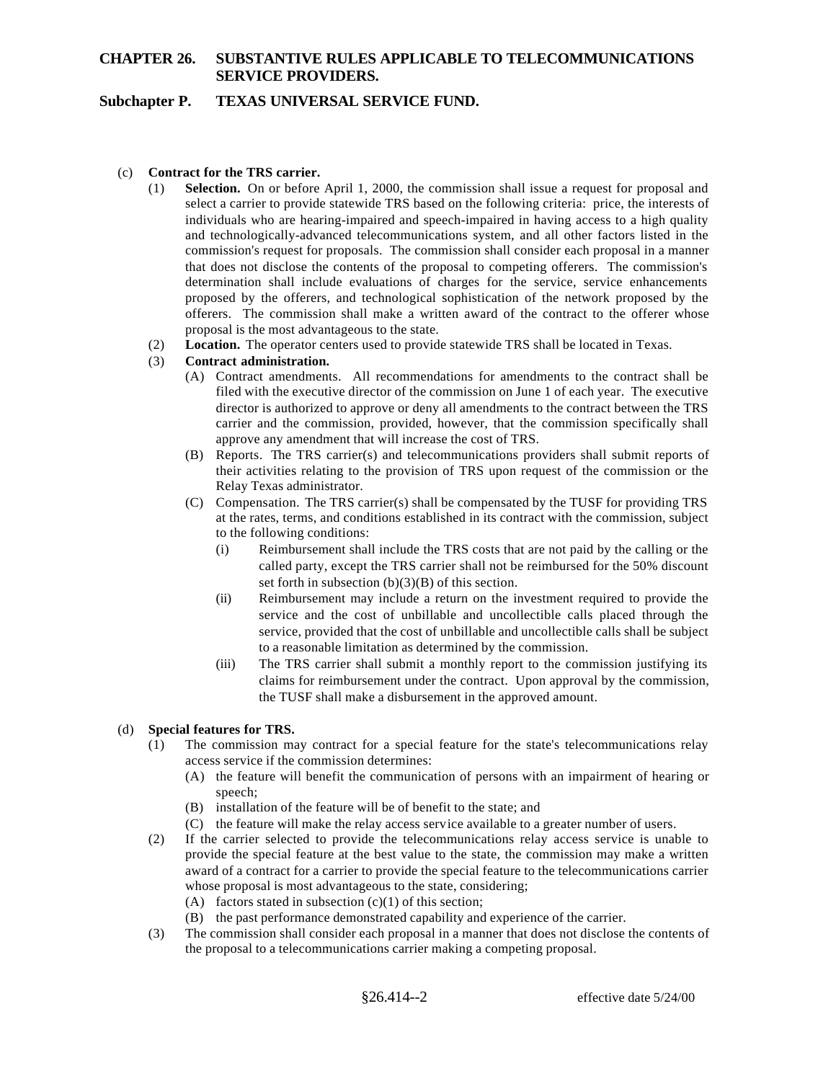# **CHAPTER 26. SUBSTANTIVE RULES APPLICABLE TO TELECOMMUNICATIONS SERVICE PROVIDERS.**

## **Subchapter P. TEXAS UNIVERSAL SERVICE FUND.**

#### (c) **Contract for the TRS carrier.**

- (1) **Selection.** On or before April 1, 2000, the commission shall issue a request for proposal and select a carrier to provide statewide TRS based on the following criteria: price, the interests of individuals who are hearing-impaired and speech-impaired in having access to a high quality and technologically-advanced telecommunications system, and all other factors listed in the commission's request for proposals. The commission shall consider each proposal in a manner that does not disclose the contents of the proposal to competing offerers. The commission's determination shall include evaluations of charges for the service, service enhancements proposed by the offerers, and technological sophistication of the network proposed by the offerers. The commission shall make a written award of the contract to the offerer whose proposal is the most advantageous to the state.
- (2) **Location.** The operator centers used to provide statewide TRS shall be located in Texas.

#### (3) **Contract administration.**

- (A) Contract amendments. All recommendations for amendments to the contract shall be filed with the executive director of the commission on June 1 of each year. The executive director is authorized to approve or deny all amendments to the contract between the TRS carrier and the commission, provided, however, that the commission specifically shall approve any amendment that will increase the cost of TRS.
- (B) Reports. The TRS carrier(s) and telecommunications providers shall submit reports of their activities relating to the provision of TRS upon request of the commission or the Relay Texas administrator.
- (C) Compensation. The TRS carrier(s) shall be compensated by the TUSF for providing TRS at the rates, terms, and conditions established in its contract with the commission, subject to the following conditions:
	- (i) Reimbursement shall include the TRS costs that are not paid by the calling or the called party, except the TRS carrier shall not be reimbursed for the 50% discount set forth in subsection  $(b)(3)(B)$  of this section.
	- (ii) Reimbursement may include a return on the investment required to provide the service and the cost of unbillable and uncollectible calls placed through the service, provided that the cost of unbillable and uncollectible calls shall be subject to a reasonable limitation as determined by the commission.
	- (iii) The TRS carrier shall submit a monthly report to the commission justifying its claims for reimbursement under the contract. Upon approval by the commission, the TUSF shall make a disbursement in the approved amount.

#### (d) **Special features for TRS.**

- (1) The commission may contract for a special feature for the state's telecommunications relay access service if the commission determines:
	- (A) the feature will benefit the communication of persons with an impairment of hearing or speech;
	- (B) installation of the feature will be of benefit to the state; and
	- (C) the feature will make the relay access service available to a greater number of users.
- (2) If the carrier selected to provide the telecommunications relay access service is unable to provide the special feature at the best value to the state, the commission may make a written award of a contract for a carrier to provide the special feature to the telecommunications carrier whose proposal is most advantageous to the state, considering;
	- (A) factors stated in subsection  $(c)(1)$  of this section;
	- (B) the past performance demonstrated capability and experience of the carrier.
- (3) The commission shall consider each proposal in a manner that does not disclose the contents of the proposal to a telecommunications carrier making a competing proposal.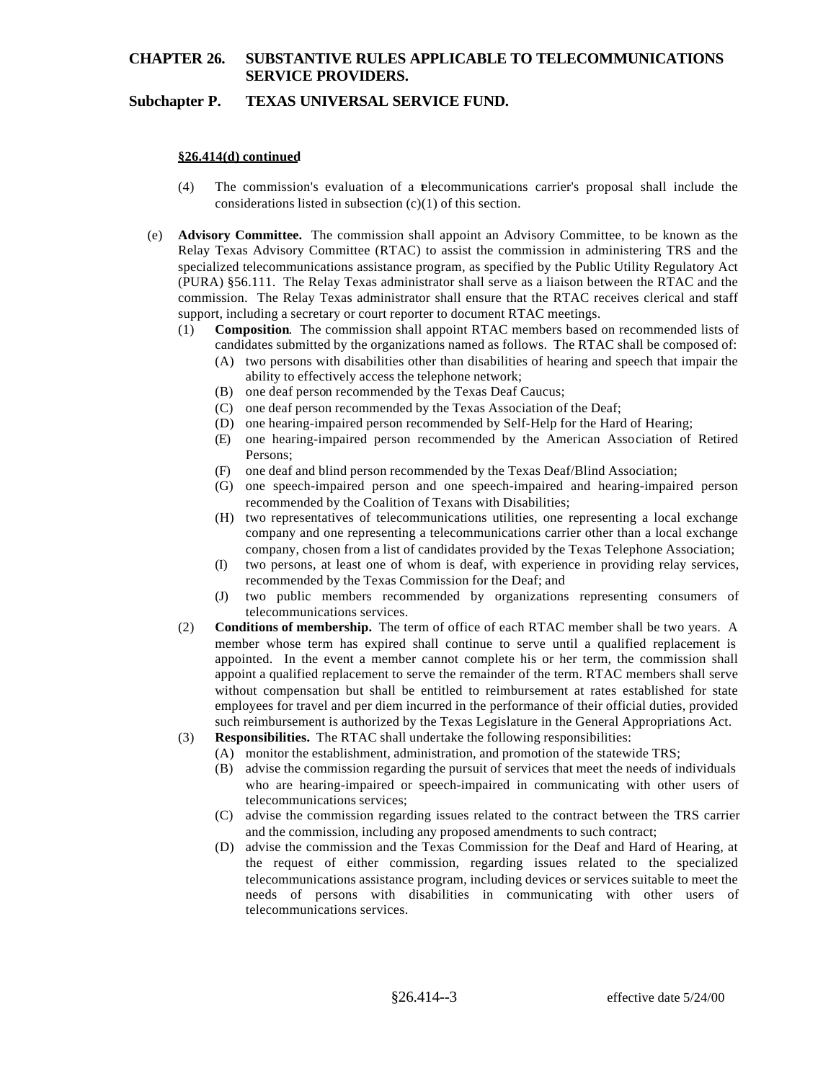# **CHAPTER 26. SUBSTANTIVE RULES APPLICABLE TO TELECOMMUNICATIONS SERVICE PROVIDERS.**

## **Subchapter P. TEXAS UNIVERSAL SERVICE FUND.**

### **§26.414(d) continued**

- (4) The commission's evaluation of a telecommunications carrier's proposal shall include the considerations listed in subsection  $(c)(1)$  of this section.
- (e) **Advisory Committee.** The commission shall appoint an Advisory Committee, to be known as the Relay Texas Advisory Committee (RTAC) to assist the commission in administering TRS and the specialized telecommunications assistance program, as specified by the Public Utility Regulatory Act (PURA) §56.111. The Relay Texas administrator shall serve as a liaison between the RTAC and the commission. The Relay Texas administrator shall ensure that the RTAC receives clerical and staff support, including a secretary or court reporter to document RTAC meetings.
	- (1) **Composition**. The commission shall appoint RTAC members based on recommended lists of candidates submitted by the organizations named as follows. The RTAC shall be composed of:
		- (A) two persons with disabilities other than disabilities of hearing and speech that impair the ability to effectively access the telephone network;
		- (B) one deaf person recommended by the Texas Deaf Caucus;
		- (C) one deaf person recommended by the Texas Association of the Deaf;
		- (D) one hearing-impaired person recommended by Self-Help for the Hard of Hearing;
		- (E) one hearing-impaired person recommended by the American Association of Retired Persons;
		- (F) one deaf and blind person recommended by the Texas Deaf/Blind Association;
		- (G) one speech-impaired person and one speech-impaired and hearing-impaired person recommended by the Coalition of Texans with Disabilities;
		- (H) two representatives of telecommunications utilities, one representing a local exchange company and one representing a telecommunications carrier other than a local exchange company, chosen from a list of candidates provided by the Texas Telephone Association;
		- (I) two persons, at least one of whom is deaf, with experience in providing relay services, recommended by the Texas Commission for the Deaf; and
		- (J) two public members recommended by organizations representing consumers of telecommunications services.
	- (2) **Conditions of membership.** The term of office of each RTAC member shall be two years. A member whose term has expired shall continue to serve until a qualified replacement is appointed. In the event a member cannot complete his or her term, the commission shall appoint a qualified replacement to serve the remainder of the term. RTAC members shall serve without compensation but shall be entitled to reimbursement at rates established for state employees for travel and per diem incurred in the performance of their official duties, provided such reimbursement is authorized by the Texas Legislature in the General Appropriations Act.
	- (3) **Responsibilities.** The RTAC shall undertake the following responsibilities:
		- (A) monitor the establishment, administration, and promotion of the statewide TRS;
		- (B) advise the commission regarding the pursuit of services that meet the needs of individuals who are hearing-impaired or speech-impaired in communicating with other users of telecommunications services;
		- (C) advise the commission regarding issues related to the contract between the TRS carrier and the commission, including any proposed amendments to such contract;
		- (D) advise the commission and the Texas Commission for the Deaf and Hard of Hearing, at the request of either commission, regarding issues related to the specialized telecommunications assistance program, including devices or services suitable to meet the needs of persons with disabilities in communicating with other users of telecommunications services.